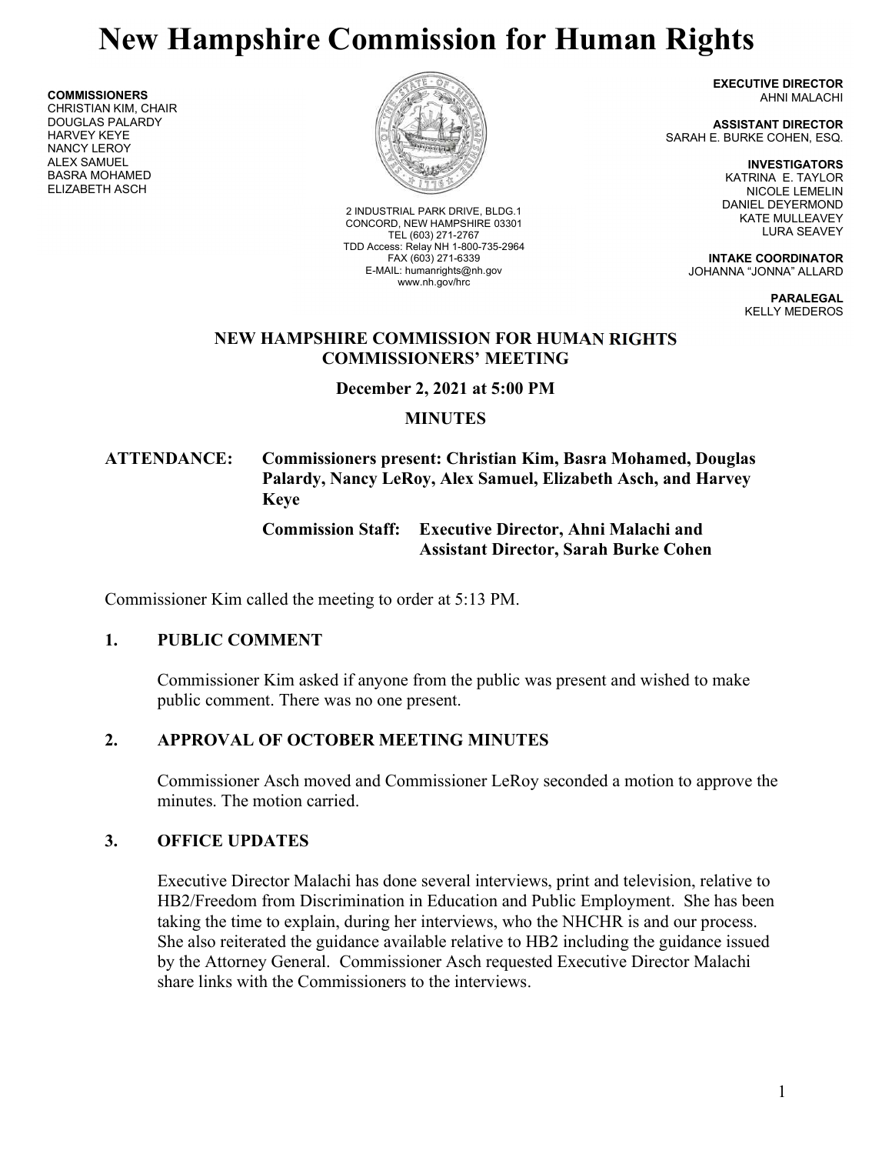# New Hampshire Commission for Human Rights

COMMISSIONERS CHRISTIAN KIM, CHAIR DOUGLAS PALARDY HARVEY KEYE NANCY LEROY ALEX SAMUEL BASRA MOHAMED ELIZABETH ASCH



2 INDUSTRIAL PARK DRIVE, BLDG.1 CONCORD, NEW HAMPSHIRE 03301 TEL (603) 271-2767 TDD Access: Relay NH 1-800-735-2964 FAX (603) 271-6339 E-MAIL: humanrights@nh.gov www.nh.gov/hrc

EXECUTIVE DIRECTOR AHNI MALACHI

ASSISTANT DIRECTOR SARAH E. BURKE COHEN, ESQ.

> INVESTIGATORS KATRINA E. TAYLOR NICOLE LEMELIN DANIEL DEYERMOND KATE MULLEAVEY LURA SEAVEY

INTAKE COORDINATOR JOHANNA "JONNA" ALLARD

> PARALEGAL KELLY MEDEROS

#### NEW HAMPSHIRE COMMISSION FOR HUMAN RIGHTS COMMISSIONERS' MEETING

December 2, 2021 at 5:00 PM

# **MINUTES**

# ATTENDANCE: Commissioners present: Christian Kim, Basra Mohamed, Douglas Palardy, Nancy LeRoy, Alex Samuel, Elizabeth Asch, and Harvey Keye

## Commission Staff: Executive Director, Ahni Malachi and Assistant Director, Sarah Burke Cohen

Commissioner Kim called the meeting to order at 5:13 PM.

## 1. PUBLIC COMMENT

Commissioner Kim asked if anyone from the public was present and wished to make public comment. There was no one present.

# 2. APPROVAL OF OCTOBER MEETING MINUTES

Commissioner Asch moved and Commissioner LeRoy seconded a motion to approve the minutes. The motion carried.

## 3. OFFICE UPDATES

Executive Director Malachi has done several interviews, print and television, relative to HB2/Freedom from Discrimination in Education and Public Employment. She has been taking the time to explain, during her interviews, who the NHCHR is and our process. She also reiterated the guidance available relative to HB2 including the guidance issued by the Attorney General. Commissioner Asch requested Executive Director Malachi share links with the Commissioners to the interviews.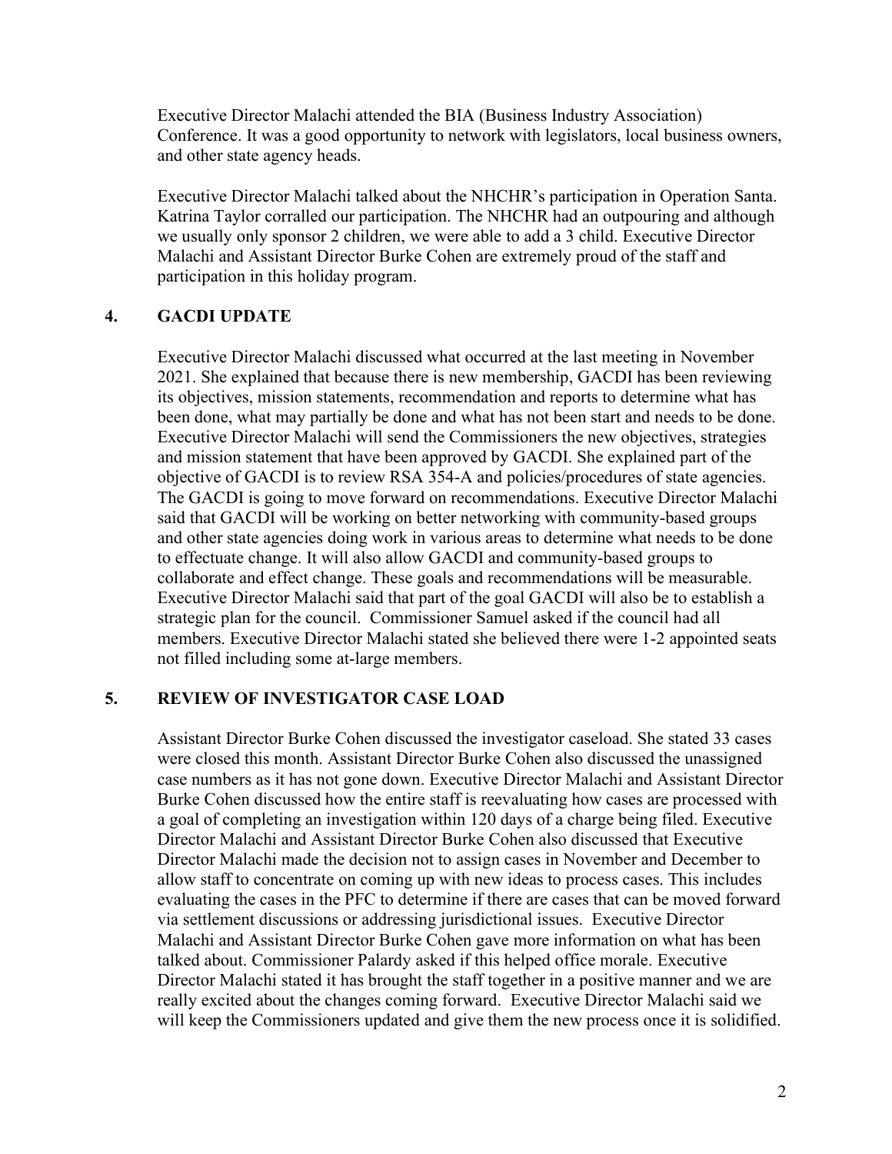Executive Director Malachi attended the BIA (Business Industry Association) Conference. It was a good opportunity to network with legislators, local business owners, and other state agency heads.

Executive Director Malachi talked about the NHCHR's participation in Operation Santa. Katrina Taylor corralled our participation. The NHCHR had an outpouring and although we usually only sponsor 2 children, we were able to add a 3 child. Executive Director Malachi and Assistant Director Burke Cohen are extremely proud of the staff and participation in this holiday program.

#### 4. GACDI UPDATE

Executive Director Malachi discussed what occurred at the last meeting in November 2021. She explained that because there is new membership, GACDI has been reviewing its objectives, mission statements, recommendation and reports to determine what has been done, what may partially be done and what has not been start and needs to be done. Executive Director Malachi will send the Commissioners the new objectives, strategies and mission statement that have been approved by GACDI. She explained part of the objective of GACDI is to review RSA 354-A and policies/procedures of state agencies. The GACDI is going to move forward on recommendations. Executive Director Malachi said that GACDI will be working on better networking with community-based groups and other state agencies doing work in various areas to determine what needs to be done to effectuate change. It will also allow GACDI and community-based groups to collaborate and effect change. These goals and recommendations will be measurable. Executive Director Malachi said that part of the goal GACDI will also be to establish a strategic plan for the council. Commissioner Samuel asked if the council had all members. Executive Director Malachi stated she believed there were 1-2 appointed seats not filled including some at-large members.

### 5. REVIEW OF INVESTIGATOR CASE LOAD

Assistant Director Burke Cohen discussed the investigator caseload. She stated 33 cases were closed this month. Assistant Director Burke Cohen also discussed the unassigned case numbers as it has not gone down. Executive Director Malachi and Assistant Director Burke Cohen discussed how the entire staff is reevaluating how cases are processed with a goal of completing an investigation within 120 days of a charge being filed. Executive Director Malachi and Assistant Director Burke Cohen also discussed that Executive Director Malachi made the decision not to assign cases in November and December to allow staff to concentrate on coming up with new ideas to process cases. This includes evaluating the cases in the PFC to determine if there are cases that can be moved forward via settlement discussions or addressing jurisdictional issues. Executive Director Malachi and Assistant Director Burke Cohen gave more information on what has been talked about. Commissioner Palardy asked if this helped office morale. Executive Director Malachi stated it has brought the staff together in a positive manner and we are really excited about the changes coming forward. Executive Director Malachi said we will keep the Commissioners updated and give them the new process once it is solidified.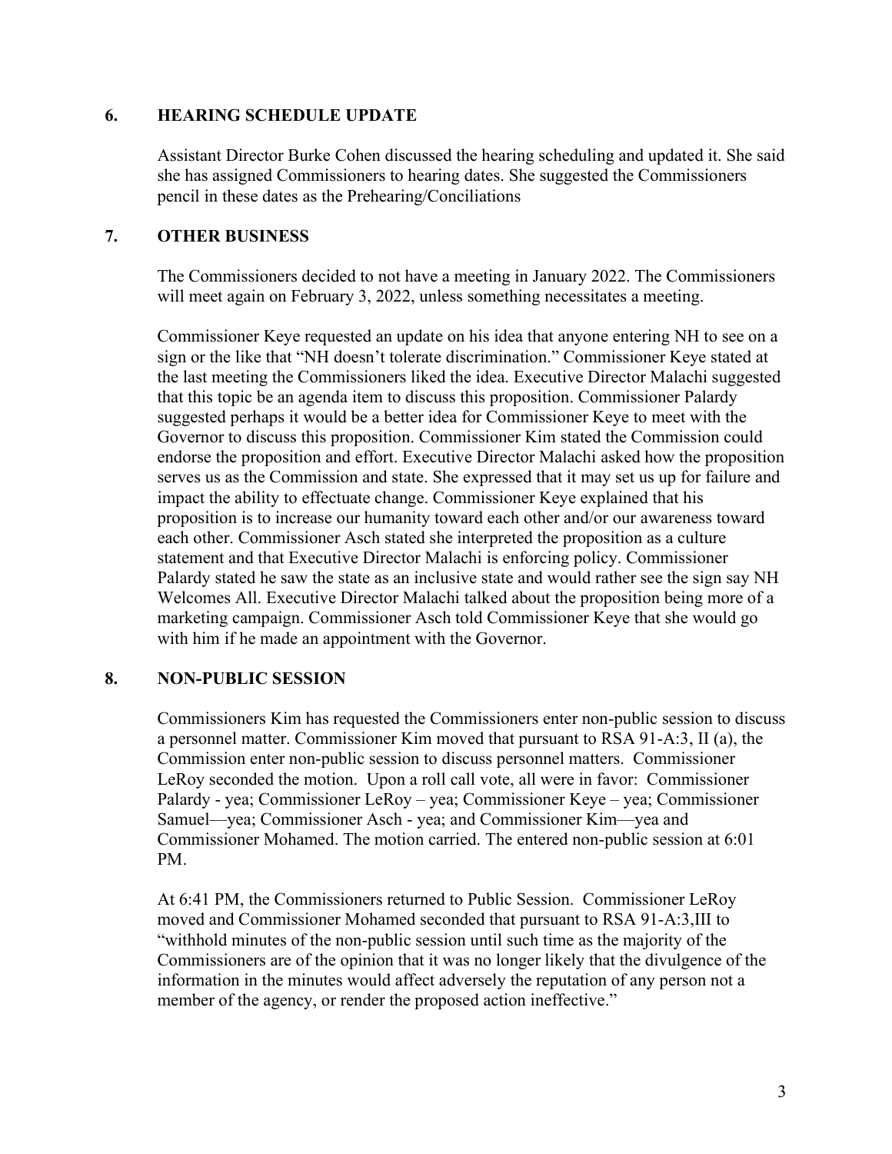#### 6. HEARING SCHEDULE UPDATE

Assistant Director Burke Cohen discussed the hearing scheduling and updated it. She said she has assigned Commissioners to hearing dates. She suggested the Commissioners pencil in these dates as the Prehearing/Conciliations

### 7. OTHER BUSINESS

The Commissioners decided to not have a meeting in January 2022. The Commissioners will meet again on February 3, 2022, unless something necessitates a meeting.

Commissioner Keye requested an update on his idea that anyone entering NH to see on a sign or the like that "NH doesn't tolerate discrimination." Commissioner Keye stated at the last meeting the Commissioners liked the idea. Executive Director Malachi suggested that this topic be an agenda item to discuss this proposition. Commissioner Palardy suggested perhaps it would be a better idea for Commissioner Keye to meet with the Governor to discuss this proposition. Commissioner Kim stated the Commission could endorse the proposition and effort. Executive Director Malachi asked how the proposition serves us as the Commission and state. She expressed that it may set us up for failure and impact the ability to effectuate change. Commissioner Keye explained that his proposition is to increase our humanity toward each other and/or our awareness toward each other. Commissioner Asch stated she interpreted the proposition as a culture statement and that Executive Director Malachi is enforcing policy. Commissioner Palardy stated he saw the state as an inclusive state and would rather see the sign say NH Welcomes All. Executive Director Malachi talked about the proposition being more of a marketing campaign. Commissioner Asch told Commissioner Keye that she would go with him if he made an appointment with the Governor.

## 8. NON-PUBLIC SESSION

Commissioners Kim has requested the Commissioners enter non-public session to discuss a personnel matter. Commissioner Kim moved that pursuant to RSA 91-A:3, II (a), the Commission enter non-public session to discuss personnel matters. Commissioner LeRoy seconded the motion. Upon a roll call vote, all were in favor: Commissioner Palardy - yea; Commissioner LeRoy – yea; Commissioner Keye – yea; Commissioner Samuel—yea; Commissioner Asch - yea; and Commissioner Kim—yea and Commissioner Mohamed. The motion carried. The entered non-public session at 6:01 PM.

At 6:41 PM, the Commissioners returned to Public Session. Commissioner LeRoy moved and Commissioner Mohamed seconded that pursuant to RSA 91-A:3,III to "withhold minutes of the non-public session until such time as the majority of the Commissioners are of the opinion that it was no longer likely that the divulgence of the information in the minutes would affect adversely the reputation of any person not a member of the agency, or render the proposed action ineffective."